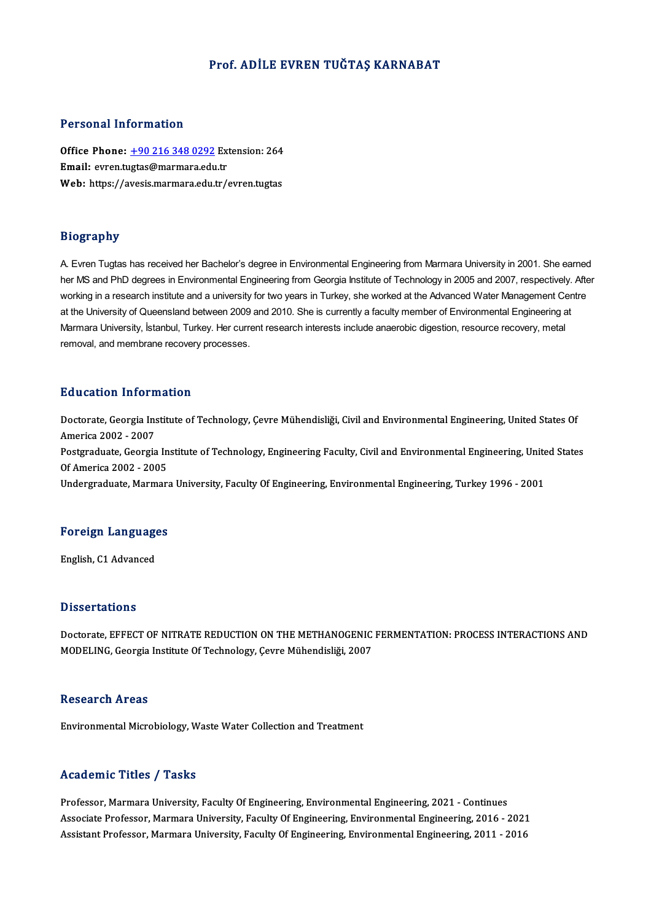#### Prof. ADİLE EVREN TUĞTAŞ KARNABAT

#### Personal Information

Personal Information<br>Office Phone: <u>+90 216 348 0292</u> Extension: 264<br>Email: eyren tustes@mermare.edu.tr 1 ST SOMAT THEST MACLOR<br>Office Phone: <u>+90 216 348 0292</u> Ext<br>Email: evren.t[ugtas@marmara.edu](tel:+90 216 348 0292).tr Office Phone: <u>+90 216 348 0292</u> Extension: 264<br>Email: evren.tugtas@marmara.edu.tr<br>Web: https://avesis.marmara.edu.tr/evren.tugtas Web: https://avesis.marmara.edu.tr/evren.tugtas<br>Biography

A. Evren Tugtas has received her Bachelor's degree in Environmental Engineering from Marmara University in 2001. She earned her MS and PhD degrees in Environmental Engineering from Georgia Institute of Technology in 2005 and 2007, respectively. After working in a research institute and a university for two years in Turkey, she worked at the Advanced Water Management Centre at the University of Queensland between 2009 and 2010. She is currently a faculty member of Environmental Engineering at Marmara University, İstanbul, Turkey. Her current research interests include anaerobic digestion, resource recovery, metal removal, and membrane recovery processes.

#### Education Information

Education Information<br>Doctorate, Georgia Institute of Technology, Çevre Mühendisliği, Civil and Environmental Engineering, United States Of<br>America 2002, 2007 **Audition Information**<br>Doctorate, Georgia Ins<br>America 2002 - 2007 Doctorate, Georgia Institute of Technology, Çevre Mühendisliği, Civil and Environmental Engineering, United States Of<br>America 2002 - 2007<br>Postgraduate, Georgia Institute of Technology, Engineering Faculty, Civil and Enviro America 2002 - 2007<br>Postgraduate, Georgia In<br>Of America 2002 - 2005<br>Undergraduate, Mermar Of America 2002 - 2005<br>Undergraduate, Marmara University, Faculty Of Engineering, Environmental Engineering, Turkey 1996 - 2001

# <sub>ondergraduate, marmara<br>Foreign Languages</sub> <mark>Foreign Language</mark><br>English, C1 Advanced

English, C1 Advanced<br>Dissertations

Doctorate, EFFECT OF NITRATE REDUCTION ON THE METHANOGENIC FERMENTATION: PROCESS INTERACTIONS AND MODELING, Georgia Institute Of Technology, Çevre Mühendisliği, 2007

#### **Research Areas**

Environmental Microbiology, Waste Water Collection and Treatment

#### Academic Titles / Tasks

Professor, Marmara University, Faculty Of Engineering, Environmental Engineering, 2021 - Continues Associate Article / Addate<br>Professor, Marmara University, Faculty Of Engineering, Environmental Engineering, 2021 - Continues<br>Associate Professor, Marmara University, Faculty Of Engineering, Environmental Engineering, 2016 Professor, Marmara University, Faculty Of Engineering, Environmental Engineering, 2021 - Continues<br>Associate Professor, Marmara University, Faculty Of Engineering, Environmental Engineering, 2016 - 2021<br>Assistant Professor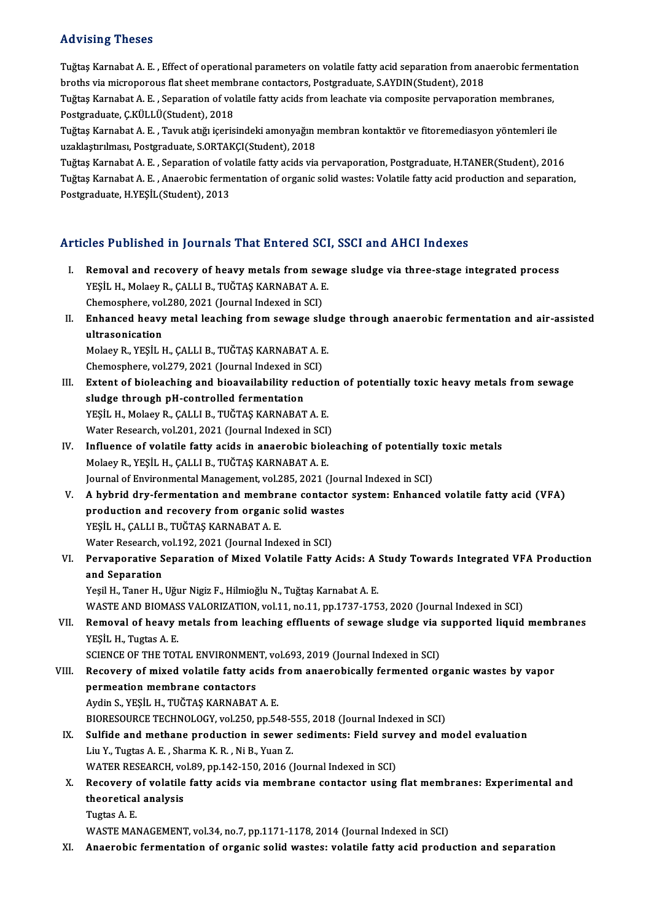#### Advising Theses

Advising Theses<br>Tuğtaş Karnabat A. E. , Effect of operational parameters on volatile fatty acid separation from anaerobic fermentation<br>hnethe via mismanarove flat sheet membrane sentesters. Pestsreduste, S.AVDIN(Student), rta vienny rinceces<br>Tuğtaş Karnabat A. E. , Effect of operational parameters on volatile fatty acid separation from an:<br>broths via microporous flat sheet membrane contactors, Postgraduate, S.AYDIN(Student), 2018<br>Tuğtaş Kar Tuğtaş Karnabat A. E. , Effect of operational parameters on volatile fatty acid separation from anaerobic ferment<br>broths via microporous flat sheet membrane contactors, Postgraduate, S.AYDIN(Student), 2018<br>Tuğtaş Karnabat

broths via microporous flat sheet membrane contactors, Postgraduate, S.AYDIN(Student), 2018<br>Tuğtaş Karnabat A. E. , Separation of volatile fatty acids from leachate via composite pervaporation membranes,<br>Postgraduate, Ç.KÜ Tuğtaş Karnabat A. E. , Separation of volatile fatty acids from leachate via composite pervaporation membranes,<br>Postgraduate, Ç.KÜLLÜ(Student), 2018<br>Tuğtaş Karnabat A. E. , Tavuk atığı içerisindeki amonyağın membran kontak

Postgraduate, Ç.KÜLLÜ(Student), 2018<br>Tuğtaş Karnabat A. E. , Tavuk atığı içerisindeki amonyağın ı<br>uzaklaştırılması, Postgraduate, S.ORTAKÇI(Student), 2018<br>Tuğtaş Karnabat A. E. , Sanaration of valatile fattu aside via Tuğtaş Karnabat A. E. , Tavuk atığı içerisindeki amonyağın membran kontaktör ve fitoremediasyon yöntemleri ile<br>uzaklaştırılması, Postgraduate, S.ORTAKÇI(Student), 2018<br>Tuğtaş Karnabat A. E. , Separation of volatile fatty a

uzaklaştırılması, Postgraduate, S.ORTAKÇI(Student), 2018<br>Tuğtaş Karnabat A. E. , Separation of volatile fatty acids via pervaporation, Postgraduate, H.TANER(Student), 2016<br>Tuğtaş Karnabat A. E. , Anaerobic fermentation of Tuğtaş Karnabat A. E. , Separation of vo<br>Tuğtaş Karnabat A. E. , Anaerobic ferm<br>Postgraduate, H.YEŞİL(Student), 2013

### Articles Published in Journals That Entered SCI, SSCI and AHCI Indexes

- rticles Published in Journals That Entered SCI, SSCI and AHCI Indexes<br>I. Removal and recovery of heavy metals from sewage sludge via three-stage integrated process<br>VESU H. Melasy B. CALLI B. TUČTAS KARNARATA, E YES 1 donomed in journals That Enter od 88.<br>Removal and recovery of heavy metals from sew<br>YEŞİL H., Molaey R., ÇALLI B., TUĞTAŞ KARNABAT A. E. Removal and recovery of heavy metals from severy in the Messical Hammark Chemosphere, vol.280, 2021 (Journal Indexed in SCI)<br>Enhanced heavy metal loashing from equate all<br>Enhanced heavy metal loashing from equate all YEŞİL H., Molaey R., ÇALLI B., TUĞTAŞ KARNABAT A. E.<br>Chemosphere, vol.280, 2021 (Journal Indexed in SCI)<br>II. Enhanced heavy metal leaching from sewage sludge through anaerobic fermentation and air-assisted<br>ultrasonisation
- Chemosphere, vol<br>Enhanced heavy<br>ultrasonication<br>Molaev P. VESİL L Enhanced heavy metal leaching from sewage slue<br>ultrasonication<br>Molaey R., YEŞİL H., ÇALLI B., TUĞTAŞ KARNABAT A. E.<br>Chamesphere, vol 279, 2021 (Journal Indoved in SCI) ultrasonication<br>Molaey R., YEŞİL H., ÇALLI B., TUĞTAŞ KARNABAT A. E<br>Chemosphere, vol.279, 2021 (Journal Indexed in SCI)<br>Extent of bioloaching and bioevailability reduct

Chemosphere, vol.279, 2021 (Journal Indexed in SCI)

- III. Extent of bioleaching and bioavailability reduction of potentially toxic heavy metals from sewage sludge through pH-controlled fermentation YEŞİL H., Molaey R., ÇALLI B., TUĞTAŞ KARNABAT A.E. Water Research, vol.201, 2021 (Journal Indexed in SCI) YEŞİL H., Molaey R., ÇALLI B., TUĞTAŞ KARNABAT A. E.<br>Water Research, vol.201, 2021 (Journal Indexed in SCI)<br>IV. Influence of volatile fatty acids in anaerobic bioleaching of potentially toxic metals<br>Molagy B. YESİL H. CALL
- Water Research, vol.201, 2021 (Journal Indexed in SCI)<br>Influence of volatile fatty acids in anaerobic biol<br>Molaey R., YEŞİL H., ÇALLI B., TUĞTAŞ KARNABAT A. E.<br>Journal of Environmental Manazement vol.295, 2021 ( Influence of volatile fatty acids in anaerobic bioleaching of potentially<br>Molaey R., YEŞİL H., ÇALLI B., TUĞTAŞ KARNABAT A. E.<br>Journal of Environmental Management, vol.285, 2021 (Journal Indexed in SCI)<br>A hybrid duy formen Molaey R., YEŞİL H., ÇALLI B., TUĞTAŞ KARNABAT A. E.<br>Journal of Environmental Management, vol.285, 2021 (Journal Indexed in SCI)<br>V. A hybrid dry-fermentation and membrane contactor system: Enhanced volatile fatty acid
- Journal of Environmental Management, vol.285, 2021 (Journal of Environmentation and membrane contactor<br>production and recovery from organic solid wastes<br>yesit H. CALLLB, TUČTAS KARNABAT A. F A hybrid dry-fermentation and membra<br>production and recovery from organic<br>YEŞİL H., ÇALLI B., TUĞTAŞ KARNABAT A. E.<br>Watar Bassarsh vol 192, 2021 (Journal Inde production and recovery from organic solid wastes<br>YEŞİL H., ÇALLI B., TUĞTAŞ KARNABAT A. E. Water Research, vol.192, 2021 (Journal Indexed in SCI)
- VI. Pervaporative Separation of Mixed Volatile Fatty Acids: A Study Towards Integrated VFA Production<br>and Separation

Yeşil H., Taner H., Uğur Nigiz F., Hilmioğlu N., Tuğtaş Karnabat A. E. WASTE AND BIOMASS VALORIZATION, vol.11, no.11, pp.1737-1753, 2020 (Journal Indexed in SCI)

## VII. Removal of heavy metals from leaching effluents of sewage sludge via supported liquid membranes YEŞİL H., Tugtas A.E. Removal of heavy metals from leaching effluents of sewage sludge via :<br>YEŞİL H., Tugtas A. E.<br>SCIENCE OF THE TOTAL ENVIRONMENT, vol.693, 2019 (Journal Indexed in SCI)<br>Becevery of mixed volatile fetty eside from aneorobisel

## YEŞİL H., Tugtas A. E.<br>SCIENCE OF THE TOTAL ENVIRONMENT, vol.693, 2019 (Journal Indexed in SCI)<br>VIII. Recovery of mixed volatile fatty acids from anaerobically fermented organic wastes by vapor<br> SCIENCE OF THE TOTAL ENVIRONMEN<br>Recovery of mixed volatile fatty ac<br>permeation membrane contactors<br>Ardin S. VESU H. THĚTAS KARNARAT Recovery of mixed volatile fatty acids !<br>permeation membrane contactors<br>Aydin S., YEŞİL H., TUĞTAŞ KARNABAT A. E.<br>PIOPESQUPCE TECUNOLOCY .val 350, np.54 permeation membrane contactors<br>Aydin S., YEŞİL H., TUĞTAŞ KARNABAT A. E.<br>BIORESOURCE TECHNOLOGY, vol.250, pp.548-555, 2018 (Journal Indexed in SCI)<br>Sulfide and methane production in equar aqdimenta: Field survey and m Aydin S., YEŞİL H., TUĞTAŞ KARNABAT A. E.<br>BIORESOURCE TECHNOLOGY, vol.250, pp.548-555, 2018 (Journal Indexed in SCI)<br>IX. Sulfide and methane production in sewer sediments: Field survey and model evaluation

BIORESOURCE TECHNOLOGY, vol.250, pp.548-5<br>Sulfide and methane production in sewer<br>Liu Y., Tugtas A. E. , Sharma K. R. , Ni B., Yuan Z.<br>WATER RESEARCH vol.20, pp.142,150, 2016 (1 Sulfide and methane production in sewer sediments: Field sur<br>Liu Y., Tugtas A. E. , Sharma K. R. , Ni B., Yuan Z.<br>WATER RESEARCH, vol.89, pp.142-150, 2016 (Journal Indexed in SCI)<br>Becovery of volatile fatty eside via membr Liu Y., Tugtas A. E. , Sharma K. R. , Ni B., Yuan Z.<br>WATER RESEARCH, vol.89, pp.142-150, 2016 (Journal Indexed in SCI)<br>X. Recovery of volatile fatty acids via membrane contactor using flat membranes: Experimental and<br>t

# WATER RESEARCH, vo<br>Recovery of volatile<br>theoretical analysis<br>Turtes A F Recovery<br>theoretical<br>Tugtas A. E.<br>WASTE MAI theoretical analysis<br>Tugtas A. E.<br>WASTE MANAGEMENT, vol.34, no.7, pp.1171-1178, 2014 (Journal Indexed in SCI)

XI. Anaerobic fermentation of organic solid wastes: volatile fatty acid production and separation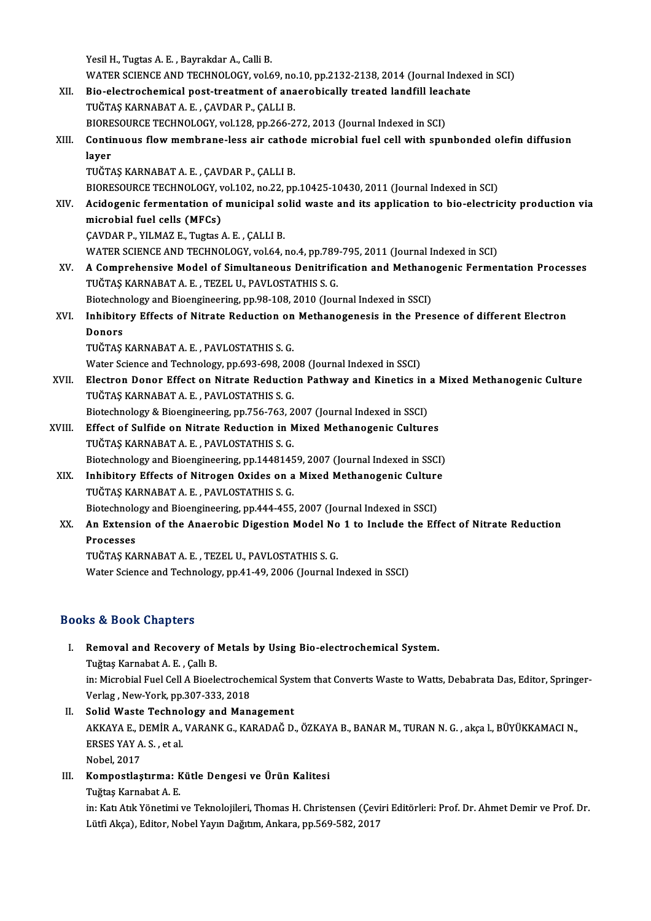Yesil H., Tugtas A. E., Bayrakdar A., Calli B. Yesil H., Tugtas A. E. , Bayrakdar A., Calli B.<br>WATER SCIENCE AND TECHNOLOGY, vol.69, no.10, pp.2132-2138, 2014 (Journal Indexed in SCI)<br>Bio, electrosbomisel nest treatment of aneorabiselly treated landfill leashete. Yesil H., Tugtas A. E. , Bayrakdar A., Calli B.<br>WATER SCIENCE AND TECHNOLOGY, vol.69, no.10, pp.2132-2138, 2014 (Journal Index<br>XII. Bio-electrochemical post-treatment of anaerobically treated landfill leachate<br>TUČTAS KARNA WATER SCIENCE AND TECHNOLOGY, vol.69, no<br>Bio-electrochemical post-treatment of ana<br>TUĞTAŞ KARNABAT A. E. , ÇAVDAR P., ÇALLI B.<br>PIOPESQURCE TECHNOLOGY, vol.129, np.266-2 Bio-electrochemical post-treatment of anaerobically treated landfill leachate<br>TUĞTAŞ KARNABAT A. E., ÇAVDAR P., ÇALLI B. TUĞTAŞ KARNABAT A. E. , ÇAVDAR P., ÇALLI B.<br>BIORESOURCE TECHNOLOGY, vol.128, pp.266-272, 2013 (Journal Indexed in SCI)<br>XIII. Continuous flow membrane-less air cathode microbial fuel cell with spunbonded olefin diffusio BIORESOURCE TECHNOLOGY, vol.128, pp.266-272, 2013 (Journal Indexed in SCI)<br>Continuous flow membrane-less air cathode microbial fuel cell with spu<br>layer<br>TUĞTAŞ KARNABAT A. E., ÇAVDAR P., ÇALLI B. Continuous flow membrane-less air catho<br>layer<br>TUĞTAŞ KARNABAT A.E., ÇAVDAR P., ÇALLI B.<br>PIOPESQURCE TECHNOLOCY, vol.102, no.22, nn l<mark>ayer</mark><br>TUĞTAŞ KARNABAT A. E. , ÇAVDAR P., ÇALLI B.<br>BIORESOURCE TECHNOLOGY, vol.102, no.22, pp.10425-10430, 2011 (Journal Indexed in SCI)<br>Asidosonis fermentation of municipal solid waste and its application to bio elestri TUĞTAŞ KARNABAT A. E. , ÇAVDAR P., ÇALLI B.<br>BIORESOURCE TECHNOLOGY, vol.102, no.22, pp.10425-10430, 2011 (Journal Indexed in SCI)<br>XIV. Acidogenic fermentation of municipal solid waste and its application to bio-electri BIORESOURCE TECHNOLOGY, v<br>Acidogenic fermentation of<br>microbial fuel cells (MFCs)<br>CAVDAP P. XII MAZ E. Tugtes Acidogenic fermentation of municipal sc<br>microbial fuel cells (MFCs)<br>ÇAVDAR P., YILMAZ E., Tugtas A. E. , ÇALLI B.<br>WATER SCIENCE AND TECUNOLOCY, vol 64 . microbial fuel cells (MFCs)<br>ÇAVDAR P., YILMAZ E., Tugtas A. E. , ÇALLI B.<br>WATER SCIENCE AND TECHNOLOGY, vol.64, no.4, pp.789-795, 2011 (Journal Indexed in SCI) CAVDAR P., YILMAZ E., Tugtas A. E. , CALLI B.<br>WATER SCIENCE AND TECHNOLOGY, vol.64, no.4, pp.789-795, 2011 (Journal Indexed in SCI)<br>XV. A Comprehensive Model of Simultaneous Denitrification and Methanogenic Fermentation Pr WATER SCIENCE AND TECHNOLOGY, vol.64, no.4, pp.789<br>A Comprehensive Model of Simultaneous Denitrific<br>TUĞTAŞ KARNABAT A. E. , TEZEL U., PAVLOSTATHIS S. G.<br>Bistechnology and Bioangineouing, np.98,109,2010 (Jour A Comprehensive Model of Simultaneous Denitrification and Methano<br>TUĞTAŞ KARNABAT A.E., TEZEL U., PAVLOSTATHIS S.G.<br>Biotechnology and Bioengineering, pp.98-108, 2010 (Journal Indexed in SSCI)<br>Inhibitory Effects of Nitrote TUĞTAŞ KARNABAT A. E. , TEZEL U., PAVLOSTATHIS S. G.<br>Biotechnology and Bioengineering, pp.98-108, 2010 (Journal Indexed in SSCI)<br>XVI. Inhibitory Effects of Nitrate Reduction on Methanogenesis in the Presence of differe Biotechn<br>I<mark>nhibito</mark><br>Donors<br>TUČTAS Inhibitory Effects of Nitrate Reduction on<br>Donors<br>TUĞTAŞ KARNABAT A.E., PAVLOSTATHIS S.G.<br>Water Science and Technology nn 603,609,300 Donors<br>TUĞTAŞ KARNABAT A. E. , PAVLOSTATHIS S. G.<br>Water Science and Technology, pp.693-698, 2008 (Journal Indexed in SSCI)<br>Flestron Donor Effect on Nitrote Bedustion Bethway and Kinetise i: TUĞTAŞ KARNABAT A. E. , PAVLOSTATHIS S. G.<br>Water Science and Technology, pp.693-698, 2008 (Journal Indexed in SSCI)<br>XVII. Electron Donor Effect on Nitrate Reduction Pathway and Kinetics in a Mixed Methanogenic Culture<br>TUĞT Water Science and Technology, pp.693-698, 20<br>Electron Donor Effect on Nitrate Reductio<br>TUĞTAŞ KARNABAT A. E. , PAVLOSTATHIS S. G.<br>Pistschnology & Piecnginearing an 756, 762, 2 Electron Donor Effect on Nitrate Reduction Pathway and Kinetics in<br>TUĞTAŞ KARNABAT A. E. , PAVLOSTATHIS S. G.<br>Biotechnology & Bioengineering, pp.756-763, 2007 (Journal Indexed in SSCI)<br>Effect of Sulfide on Nitrate Beductio TUĞTAŞ KARNABAT A. E. , PAVLOSTATHIS S. G.<br>Biotechnology & Bioengineering, pp.756-763, 2007 (Journal Indexed in SSCI)<br>XVIII. Effect of Sulfide on Nitrate Reduction in Mixed Methanogenic Cultures<br>TUĞTAS KARNARAT A. E. BAVLO Biotechnology & Bioengineering, pp.756-763, 2<br>Effect of Sulfide on Nitrate Reduction in N<br>TUĞTAŞ KARNABAT A.E., PAVLOSTATHIS S.G.<br>Biotechnology and Bioengineering nn 1449145 Effect of Sulfide on Nitrate Reduction in Mixed Methanogenic Cultures<br>TUĞTAŞ KARNABAT A. E. , PAVLOSTATHIS S. G.<br>Biotechnology and Bioengineering, pp.14481459, 2007 (Journal Indexed in SSCI)<br>Inhibitory Effects of Nitroson TUĞTAŞ KARNABAT A. E. , PAVLOSTATHIS S. G.<br>Biotechnology and Bioengineering, pp.14481459, 2007 (Journal Indexed in SSCI)<br>XIX. Inhibitory Effects of Nitrogen Oxides on a Mixed Methanogenic Culture<br>TUĞTAŞ KARNABAT A. E. , PA Biotechnology and Bioengineering, pp.14481459, 2007 (Journal Indexed in SSCI) Inhibitory Effects of Nitrogen Oxides on a Mixed Methanogenic Culture<br>TUĞTAŞ KARNABAT A. E. , PAVLOSTATHIS S. G.<br>Biotechnology and Bioengineering, pp.444-455, 2007 (Journal Indexed in SSCI)<br>An Extension of the Angershie Di XX. An Extension of the Anaerobic Digestion Model No 1 to Include the Effect of Nitrate Reduction<br>Processes **Biotechnolo<br>An Extensi<br>Processes<br>TUČTAS VA** TUĞTAŞKARNABATA.E. ,TEZELU.,PAVLOSTATHIS S.G. Water Science and Technology, pp.41-49, 2006 (Journal Indexed in SSCI)

### Books&Book Chapters

- ooks & Book Chapters<br>I. Removal and Recovery of Metals by Using Bio-electrochemical System.<br>Tugtes Karnabat A.E. Call, B. Tuğtaş Karnabat<br>Removal and Recovery of<br>Tuğtaş Karnabat A. E. , Çallı B.<br>in: Microbial Euel Call A Biools Removal and Recovery of Metals by Using Bio-electrochemical System.<br>Tuğtaş Karnabat A. E. , Çallı B.<br>in: Microbial Fuel Cell A Bioelectrochemical System that Converts Waste to Watts, Debabrata Das, Editor, Springer-<br>Verlag Tuğtaş Karnabat A. E. , Çallı B.<br>in: Microbial Fuel Cell A Bioelectroche<br>Verlag , New-York, pp.307-333, 2018<br>Selid Waste Technelegy and Man in: Microbial Fuel Cell A Bioelectrochemical Syst<br>Verlag , New-York, pp.307-333, 2018<br>II. Solid Waste Technology and Management<br>AVYAVA E. DEMIR A VARANY C. VARADAČ D
- Verlag , New-York, pp.307-333, 2018<br>Solid Waste Technology and Management<br>AKKAYA E., DEMİR A., VARANK G., KARADAĞ D., ÖZKAYA B., BANAR M., TURAN N. G. , akça l., BÜYÜKKAMACI N.,<br>ERSES YAY A. S. , et al. Solid Waste Techno<br>AKKAYA E., DEMİR A.,<br>ERSES YAY A. S. , et al.<br>Nebel 2017 Nobel,2017 ERSES YAY A. S. , et al.<br>Nobel, 2017<br>III. Kompostlaştırma: Kütle Dengesi ve Ürün Kalitesi<br>Tuğtaş Kanabat A. E
- Nobel, 2017<br><mark>Kompostlaştırma: k</mark><br>Tuğtaş Karnabat A. E.<br>in: Katı Atık Yönetimi

Tuğtaş Karnabat A. E.<br>in: Katı Atık Yönetimi ve Teknolojileri, Thomas H. Christensen (Çeviri Editörleri: Prof. Dr. Ahmet Demir ve Prof. Dr. Lütfi Akça), Editor, Nobel Yayın Dağıtım, Ankara, pp.569-582, 2017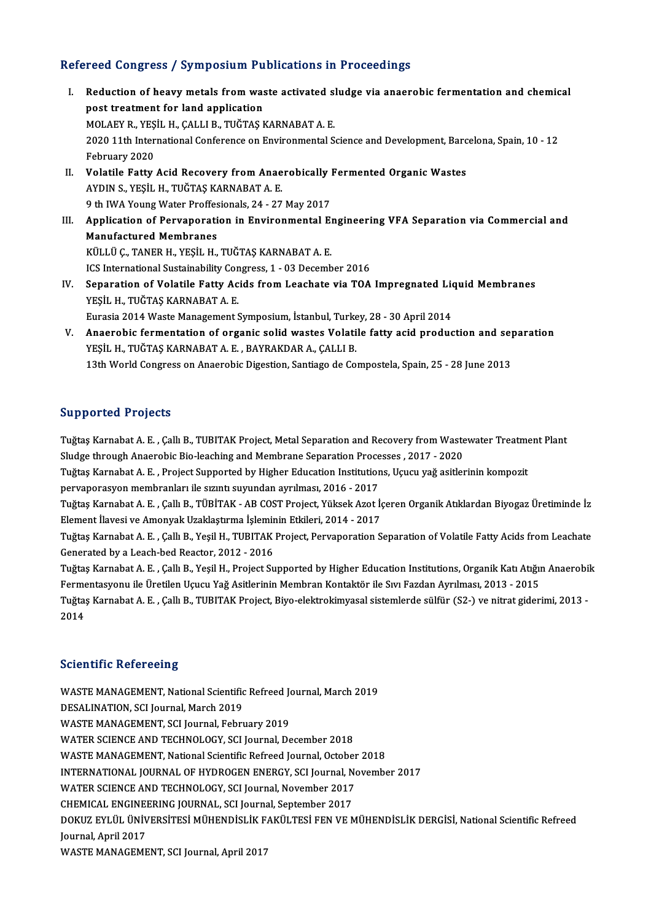### Refereed Congress / Symposium Publications in Proceedings

- efereed Congress / Symposium Publications in Proceedings<br>I. Reduction of heavy metals from waste activated sludge via anaerobic fermentation and chemical<br>nest treatment for land annivation post treatment for land application<br>post treatment for land application<br>MOLAEV B, VESIL H, CALLL B, THČTAS L Reduction of heavy metals from waste activated s<br>post treatment for land application<br>MOLAEY R., YEŞİL H., ÇALLI B., TUĞTAŞ KARNABAT A. E.<br>2020 11th International Conference en Environmental S 1020 post treatment for land application<br>MOLAEY R., YEŞİL H., ÇALLI B., TUĞTAŞ KARNABAT A. E.<br>2020 11th International Conference on Environmental Science and Development, Barcelona, Spain, 10 - 12<br>February 2020 MOLAEY R., YEŞ<br>2020 11th Inter<br>February 2020<br>Velatile Fatty 2020 11th International Conference on Environmental Science and Development, Barc<br>February 2020<br>II. Volatile Fatty Acid Recovery from Anaerobically Fermented Organic Wastes<br>AVDIM S. VESIL H. THČTAS KARMARAT A. F. February 2020<br>Volatile Fatty Acid Recovery from Anae<br>AYDIN S., YEŞİL H., TUĞTAŞ KARNABAT A. E.<br>9 th UVA Young Water Proffesionals, 24, ...?? Volatile Fatty Acid Recovery from Anaerobically<br>AYDIN S., YEŞİL H., TUĞTAŞ KARNABAT A. E.<br>9 th IWA Young Water Proffesionals, 24 - 27 May 2017<br>Annligation of Penyanoration in Environmental E. AYDIN S., YEŞİL H., TUĞTAŞ KARNABAT A. E.<br>9 th IWA Young Water Proffesionals, 24 - 27 May 2017<br>III. Application of Pervaporation in Environmental Engineering VFA Separation via Commercial and<br>Manufastured Mambranes **9 th IWA Young Water Proffes<br>Application of Pervaporati<br>Manufactured Membranes<br>KÜLLÜ C. TANEP H. VESİL H** Application of Pervaporation in Environmental El<br>Manufactured Membranes<br>KÜLLÜ Ç., TANER H., YEŞİL H., TUĞTAŞ KARNABAT A. E.<br>ICS International Sustainability Congress 1, 03 Desemb Manufactured Membranes<br>KÜLLÜ Ç., TANER H., YEŞİL H., TUĞTAŞ KARNABAT A. E.<br>ICS International Sustainability Congress, 1 - 03 December 2016<br>Senaration of Velatile Fatty Asids from Laashata via TOA KÜLLÜ Ç., TANER H., YEŞİL H., TUĞTAŞ KARNABAT A. E.<br>ICS International Sustainability Congress, 1 - 03 December 2016<br>IV. Separation of Volatile Fatty Acids from Leachate via TOA Impregnated Liquid Membranes<br>YEŞİL H., TUĞTAŞ ICS International Sustainability Con<br>Separation of Volatile Fatty Ac<br>YEŞİL H., TUĞTAŞ KARNABAT A. E.<br>Eurosia 2014 Waste Managament S Separation of Volatile Fatty Acids from Leachate via TOA Impregnated Lion<br>YEŞİL H., TUĞTAŞ KARNABAT A. E.<br>Eurasia 2014 Waste Management Symposium, İstanbul, Turkey, 28 - 30 April 2014<br>Anaerebis fermentation of ersenis seli
- V. Anaerobic fermentation of organic solid wastes Volatile fatty acid production and separation Eurasia 2014 Waste Management Symposium, İstanbul, Turke<br>Anaerobic fermentation of organic solid wastes Volati<br>YEŞİL H., TUĞTAŞ KARNABAT A. E. , BAYRAKDAR A., ÇALLI B.<br>12th World Congress on Anaerobis Digestion Sontiago de 13th World Congress on Anaerobic Digestion, Santiago de Compostela, Spain, 25 - 28 June 2013

#### Supported Projects

Supported Projects<br>Tuğtaş Karnabat A. E. , Çallı B., TUBITAK Project, Metal Separation and Recovery from Wastewater Treatment Plant<br>Sludge through Aneorebia Bia İsashira and Mambrane Saparation Presesses - 2017 - 2020 Supporteer 119jects<br>Tuğtaş Karnabat A. E. , Çallı B., TUBITAK Project, Metal Separation and Recovery from Waste<br>Sludge through Anaerobic Bio-leaching and Membrane Separation Processes , 2017 - 2020<br>Tuğtaş Karnabat A. E., P Tuğtaş Karnabat A. E. , Çallı B., TUBITAK Project, Metal Separation and Recovery from Wastewater Treatme<br>Sludge through Anaerobic Bio-leaching and Membrane Separation Processes , 2017 - 2020<br>Tuğtaş Karnabat A. E. , Project

Sludge through Anaerobic Bio-leaching and Membrane Separation Proce<br>Tuğtaş Karnabat A. E. , Project Supported by Higher Education Institution<br>pervaporasyon membranları ile sızıntı suyundan ayrılması, 2016 - 2017<br>Tuğtaş Kar Tuğtaş Karnabat A. E. , Project Supported by Higher Education Institutions, Uçucu yağ asitlerinin kompozit<br>pervaporasyon membranları ile sızıntı suyundan ayrılması, 2016 - 2017<br>Tuğtaş Karnabat A. E. , Çallı B., TÜBİTAK - A

pervaporasyon membranları ile sızıntı suyundan ayrılması, 2016 - 2017<br>Tuğtaş Karnabat A. E. , Çallı B., TÜBİTAK - AB COST Project, Yüksek Azot İç<br>Element İlavesi ve Amonyak Uzaklaştırma İşleminin Etkileri, 2014 - 2017<br>Tuğt Tuğtaş Karnabat A. E. , Çallı B., TÜBİTAK - AB COST Project, Yüksek Azot İçeren Organik Atıklardan Biyogaz Üretiminde İz<br>Element İlavesi ve Amonyak Uzaklaştırma İşleminin Etkileri, 2014 - 2017<br>Tuğtaş Karnabat A. E. , Çallı

Element İlavesi ve Amonyak Uzaklaştırma İşlemir<br>Tuğtaş Karnabat A. E. , Çallı B., Yeşil H., TUBITAK<br>Generated by a Leach-bed Reactor, 2012 - 2016<br>Tuğtaş Karnabat A. E., Çallı B. Yeşil H. Project Su Tuğtaş Karnabat A. E. , Çallı B., Yeşil H., TUBITAK Project, Pervaporation Separation of Volatile Fatty Acids from Leachate<br>Generated by a Leach-bed Reactor, 2012 - 2016<br>Tuğtaş Karnabat A. E. , Çallı B., Yeşil H., Project

Generated by a Leach-bed Reactor, 2012 - 2016<br>Tuğtaş Karnabat A. E. , Çallı B., Yeşil H., Project Supported by Higher Education Institutions, Organik Katı Atığı<br>Fermentasyonu ile Üretilen Uçucu Yağ Asitlerinin Membran Kont Tuğtaş Karnabat A. E. , Çallı B., Yeşil H., Project Supported by Higher Education Institutions, Organik Katı Atığın Anaerobil<br>Fermentasyonu ile Üretilen Uçucu Yağ Asitlerinin Membran Kontaktör ile Sıvı Fazdan Ayrılması, 20

Fermentasyonu ile Üretilen Uçucu Yağ Asitlerinin Membran Kontaktör ile Sıvı Fazdan Ayrılması, 2013 - 2015<br>Tuğtaş Karnabat A. E. , Çallı B., TUBITAK Project, Biyo-elektrokimyasal sistemlerde sülfür (S2-) ve nitrat giderimi,

#### **Scientific Refereeing**

Scientific Refereeing<br>WASTE MANAGEMENT, National Scientific Refreed Journal, March 2019<br>RESALINATION, SCLIQUIDEL March 2010 DESERVITE NETER BEHIND<br>WASTE MANAGEMENT, National Scientific<br>DESALINATION, SCI Journal, March 2019<br>WASTE MANAGEMENT, SCI Journal, Febru WASTE MANAGEMENT, National Scientific Refreed Journal, March 2019<br>DESALINATION, SCI Journal, March 2019<br>WASTE MANAGEMENT, SCI Journal, February 2019<br>WATER SCIENCE AND TECHNOLOCY, SCI Journal De DESALINATION, SCI Journal, March 2019<br>WASTE MANAGEMENT, SCI Journal, February 2019<br>WATER SCIENCE AND TECHNOLOGY, SCI Journal, December 2018 WASTE MANAGEMENT, National Scientific Refreed Journal, October 2018 WATER SCIENCE AND TECHNOLOGY, SCI Journal, December 2018<br>WASTE MANAGEMENT, National Scientific Refreed Journal, October 2018<br>INTERNATIONAL JOURNAL OF HYDROGEN ENERGY, SCI Journal, November 2017<br>WATER SCIENCE AND TECHNOLOCY WASTE MANAGEMENT, National Scientific Refreed Journal, October<br>INTERNATIONAL JOURNAL OF HYDROGEN ENERGY, SCI Journal, No<br>WATER SCIENCE AND TECHNOLOGY, SCI Journal, November 2017<br>CHEMICAL ENCINEERING JOURNAL SCI Journal Sen INTERNATIONAL JOURNAL OF HYDROGEN ENERGY, SCI Journal, N<br>WATER SCIENCE AND TECHNOLOGY, SCI Journal, November 2017<br>CHEMICAL ENGINEERING JOURNAL, SCI Journal, September 2017<br>DOKUZ EVI ÜL ÜNIVERSITESI MÜHENDISLIK FAKÜLTESI EE WATER SCIENCE AND TECHNOLOGY, SCI Journal, November 2017<br>CHEMICAL ENGINEERING JOURNAL, SCI Journal, September 2017<br>DOKUZ EYLÜL ÜNİVERSİTESİ MÜHENDİSLİK FAKÜLTESİ FEN VE MÜHENDİSLİK DERGİSİ, National Scientific Refreed<br>Jour CHEMICAL ENGINE<br>DOKUZ EYLÜL ÜNİV<br>Journal, April 2017<br>WASTE MANACEME DOKUZ EYLÜL ÜNİVERSİTESİ MÜHENDİSLİK F.<br>Journal, April 2017<br>WASTE MANAGEMENT, SCI Journal, April 2017